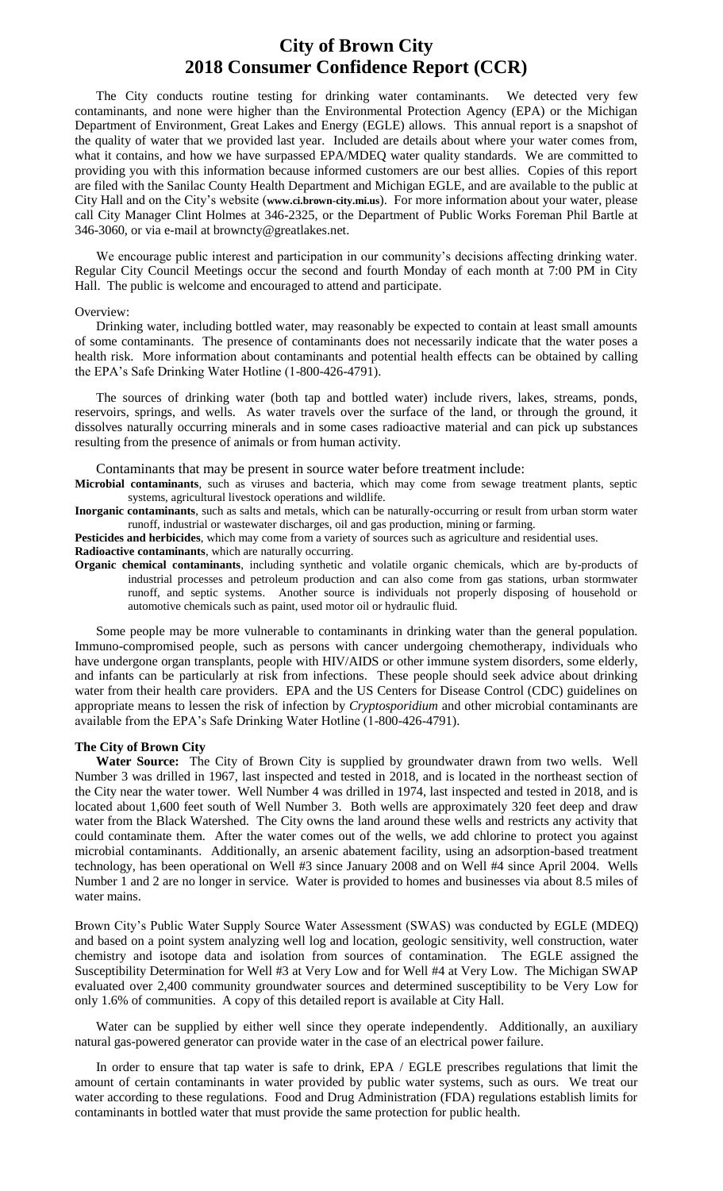## **City of Brown City 2018 Consumer Confidence Report (CCR)**

The City conducts routine testing for drinking water contaminants. We detected very few contaminants, and none were higher than the Environmental Protection Agency (EPA) or the Michigan Department of Environment, Great Lakes and Energy (EGLE) allows. This annual report is a snapshot of the quality of water that we provided last year. Included are details about where your water comes from, what it contains, and how we have surpassed EPA/MDEQ water quality standards. We are committed to providing you with this information because informed customers are our best allies. Copies of this report are filed with the Sanilac County Health Department and Michigan EGLE, and are available to the public at City Hall and on the City's website (**www.ci.brown-city.mi.us**). For more information about your water, please call City Manager Clint Holmes at 346-2325, or the Department of Public Works Foreman Phil Bartle at 346-3060, or via e-mail at browncty@greatlakes.net.

We encourage public interest and participation in our community's decisions affecting drinking water. Regular City Council Meetings occur the second and fourth Monday of each month at 7:00 PM in City Hall. The public is welcome and encouraged to attend and participate.

### Overview:

Drinking water, including bottled water, may reasonably be expected to contain at least small amounts of some contaminants. The presence of contaminants does not necessarily indicate that the water poses a health risk. More information about contaminants and potential health effects can be obtained by calling the EPA's Safe Drinking Water Hotline (1-800-426-4791).

The sources of drinking water (both tap and bottled water) include rivers, lakes, streams, ponds, reservoirs, springs, and wells. As water travels over the surface of the land, or through the ground, it dissolves naturally occurring minerals and in some cases radioactive material and can pick up substances resulting from the presence of animals or from human activity.

Contaminants that may be present in source water before treatment include:

**Microbial contaminants**, such as viruses and bacteria, which may come from sewage treatment plants, septic systems, agricultural livestock operations and wildlife.

**Inorganic contaminants**, such as salts and metals, which can be naturally-occurring or result from urban storm water runoff, industrial or wastewater discharges, oil and gas production, mining or farming.

**Pesticides and herbicides**, which may come from a variety of sources such as agriculture and residential uses.

**Radioactive contaminants**, which are naturally occurring.

**Organic chemical contaminants**, including synthetic and volatile organic chemicals, which are by-products of industrial processes and petroleum production and can also come from gas stations, urban stormwater runoff, and septic systems. Another source is individuals not properly disposing of household or automotive chemicals such as paint, used motor oil or hydraulic fluid.

Some people may be more vulnerable to contaminants in drinking water than the general population. Immuno-compromised people, such as persons with cancer undergoing chemotherapy, individuals who have undergone organ transplants, people with HIV/AIDS or other immune system disorders, some elderly, and infants can be particularly at risk from infections. These people should seek advice about drinking water from their health care providers. EPA and the US Centers for Disease Control (CDC) guidelines on appropriate means to lessen the risk of infection by *Cryptosporidium* and other microbial contaminants are available from the EPA's Safe Drinking Water Hotline (1-800-426-4791).

### **The City of Brown City**

**Water Source:** The City of Brown City is supplied by groundwater drawn from two wells. Well Number 3 was drilled in 1967, last inspected and tested in 2018, and is located in the northeast section of the City near the water tower. Well Number 4 was drilled in 1974, last inspected and tested in 2018, and is located about 1,600 feet south of Well Number 3. Both wells are approximately 320 feet deep and draw water from the Black Watershed. The City owns the land around these wells and restricts any activity that could contaminate them. After the water comes out of the wells, we add chlorine to protect you against microbial contaminants. Additionally, an arsenic abatement facility, using an adsorption-based treatment technology, has been operational on Well #3 since January 2008 and on Well #4 since April 2004. Wells Number 1 and 2 are no longer in service. Water is provided to homes and businesses via about 8.5 miles of water mains.

Brown City's Public Water Supply Source Water Assessment (SWAS) was conducted by EGLE (MDEQ) and based on a point system analyzing well log and location, geologic sensitivity, well construction, water chemistry and isotope data and isolation from sources of contamination. The EGLE assigned the Susceptibility Determination for Well #3 at Very Low and for Well #4 at Very Low. The Michigan SWAP evaluated over 2,400 community groundwater sources and determined susceptibility to be Very Low for only 1.6% of communities. A copy of this detailed report is available at City Hall.

Water can be supplied by either well since they operate independently. Additionally, an auxiliary natural gas-powered generator can provide water in the case of an electrical power failure.

In order to ensure that tap water is safe to drink, EPA / EGLE prescribes regulations that limit the amount of certain contaminants in water provided by public water systems, such as ours. We treat our water according to these regulations. Food and Drug Administration (FDA) regulations establish limits for contaminants in bottled water that must provide the same protection for public health.